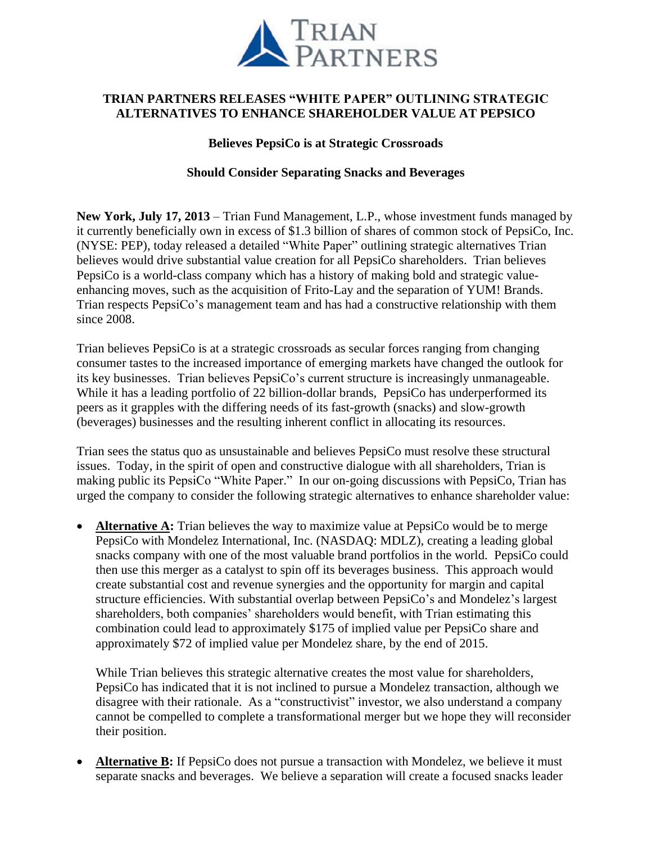

# **TRIAN PARTNERS RELEASES "WHITE PAPER" OUTLINING STRATEGIC ALTERNATIVES TO ENHANCE SHAREHOLDER VALUE AT PEPSICO**

## **Believes PepsiCo is at Strategic Crossroads**

## **Should Consider Separating Snacks and Beverages**

**New York, July 17, 2013** – Trian Fund Management, L.P., whose investment funds managed by it currently beneficially own in excess of \$1.3 billion of shares of common stock of PepsiCo, Inc. (NYSE: PEP), today released a detailed "White Paper" outlining strategic alternatives Trian believes would drive substantial value creation for all PepsiCo shareholders. Trian believes PepsiCo is a world-class company which has a history of making bold and strategic valueenhancing moves, such as the acquisition of Frito-Lay and the separation of YUM! Brands. Trian respects PepsiCo's management team and has had a constructive relationship with them since 2008.

Trian believes PepsiCo is at a strategic crossroads as secular forces ranging from changing consumer tastes to the increased importance of emerging markets have changed the outlook for its key businesses. Trian believes PepsiCo's current structure is increasingly unmanageable. While it has a leading portfolio of 22 billion-dollar brands, PepsiCo has underperformed its peers as it grapples with the differing needs of its fast-growth (snacks) and slow-growth (beverages) businesses and the resulting inherent conflict in allocating its resources.

Trian sees the status quo as unsustainable and believes PepsiCo must resolve these structural issues. Today, in the spirit of open and constructive dialogue with all shareholders, Trian is making public its PepsiCo "White Paper." In our on-going discussions with PepsiCo, Trian has urged the company to consider the following strategic alternatives to enhance shareholder value:

 **Alternative A:** Trian believes the way to maximize value at PepsiCo would be to merge PepsiCo with Mondelez International, Inc. (NASDAQ: MDLZ), creating a leading global snacks company with one of the most valuable brand portfolios in the world. PepsiCo could then use this merger as a catalyst to spin off its beverages business. This approach would create substantial cost and revenue synergies and the opportunity for margin and capital structure efficiencies. With substantial overlap between PepsiCo's and Mondelez's largest shareholders, both companies' shareholders would benefit, with Trian estimating this combination could lead to approximately \$175 of implied value per PepsiCo share and approximately \$72 of implied value per Mondelez share, by the end of 2015.

While Trian believes this strategic alternative creates the most value for shareholders, PepsiCo has indicated that it is not inclined to pursue a Mondelez transaction, although we disagree with their rationale. As a "constructivist" investor, we also understand a company cannot be compelled to complete a transformational merger but we hope they will reconsider their position.

 **Alternative B:** If PepsiCo does not pursue a transaction with Mondelez, we believe it must separate snacks and beverages. We believe a separation will create a focused snacks leader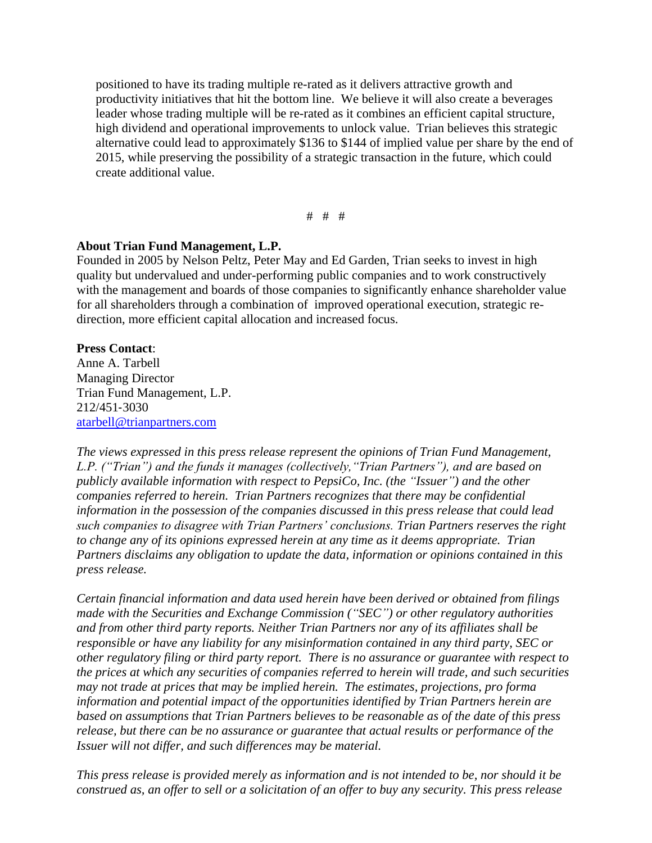positioned to have its trading multiple re-rated as it delivers attractive growth and productivity initiatives that hit the bottom line. We believe it will also create a beverages leader whose trading multiple will be re-rated as it combines an efficient capital structure, high dividend and operational improvements to unlock value. Trian believes this strategic alternative could lead to approximately \$136 to \$144 of implied value per share by the end of 2015, while preserving the possibility of a strategic transaction in the future, which could create additional value.

# # #

#### **About Trian Fund Management, L.P.**

Founded in 2005 by Nelson Peltz, Peter May and Ed Garden, Trian seeks to invest in high quality but undervalued and under-performing public companies and to work constructively with the management and boards of those companies to significantly enhance shareholder value for all shareholders through a combination of improved operational execution, strategic redirection, more efficient capital allocation and increased focus.

#### **Press Contact**:

Anne A. Tarbell Managing Director Trian Fund Management, L.P. 212/451‐3030 [atarbell@trianpartners.com](mailto:atarbell@trianpartners.com)

*The views expressed in this press release represent the opinions of Trian Fund Management, L.P. ("Trian") and the funds it manages (collectively,"Trian Partners"), and are based on publicly available information with respect to PepsiCo, Inc. (the "Issuer") and the other companies referred to herein. Trian Partners recognizes that there may be confidential information in the possession of the companies discussed in this press release that could lead such companies to disagree with Trian Partners' conclusions. Trian Partners reserves the right to change any of its opinions expressed herein at any time as it deems appropriate. Trian Partners disclaims any obligation to update the data, information or opinions contained in this press release.*

*Certain financial information and data used herein have been derived or obtained from filings made with the Securities and Exchange Commission ("SEC") or other regulatory authorities and from other third party reports. Neither Trian Partners nor any of its affiliates shall be responsible or have any liability for any misinformation contained in any third party, SEC or other regulatory filing or third party report. There is no assurance or guarantee with respect to the prices at which any securities of companies referred to herein will trade, and such securities may not trade at prices that may be implied herein. The estimates, projections, pro forma information and potential impact of the opportunities identified by Trian Partners herein are based on assumptions that Trian Partners believes to be reasonable as of the date of this press release, but there can be no assurance or guarantee that actual results or performance of the Issuer will not differ, and such differences may be material.* 

*This press release is provided merely as information and is not intended to be, nor should it be construed as, an offer to sell or a solicitation of an offer to buy any security. This press release*